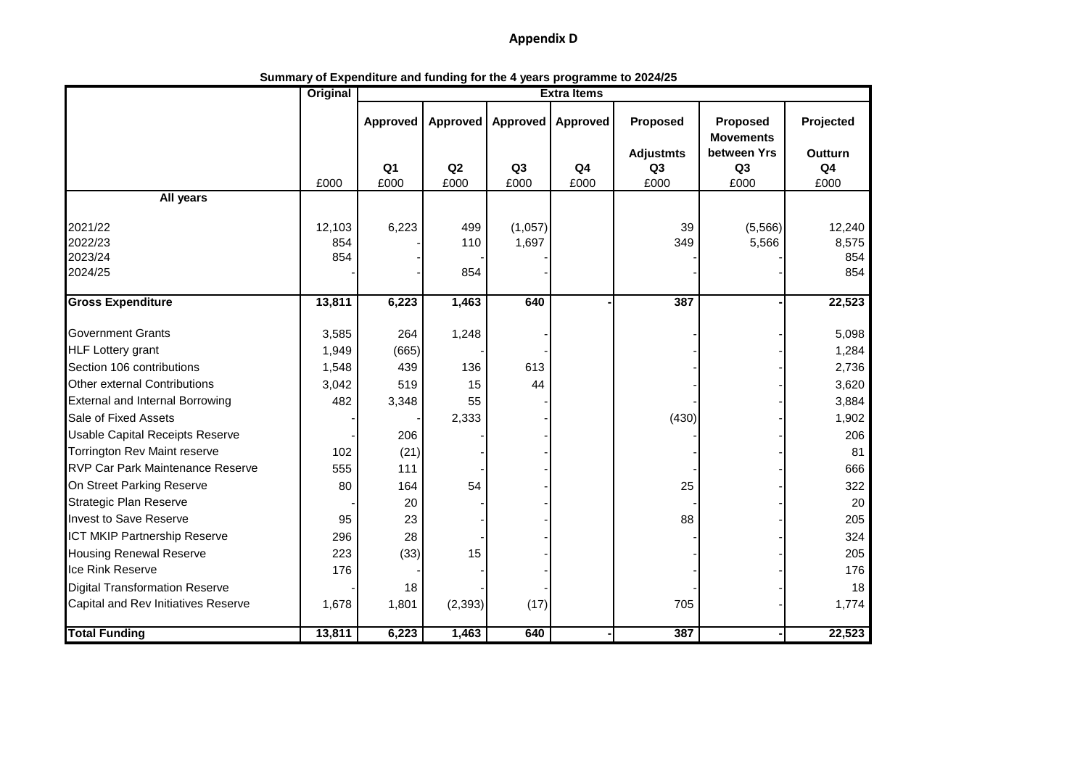## **Appendix D**

**Summary of Expenditure and funding for the 4 years programme to 2024/25**

|                                         | <b>Original</b> | <b>Extra Items</b>     |          |                        |                |                  |                              |                                  |  |  |
|-----------------------------------------|-----------------|------------------------|----------|------------------------|----------------|------------------|------------------------------|----------------------------------|--|--|
|                                         |                 | Approved               | Approved | Approved               | Approved       | Proposed         | Proposed<br><b>Movements</b> | Projected                        |  |  |
|                                         |                 |                        | Q2       |                        | Q <sub>4</sub> | <b>Adjustmts</b> | between Yrs                  | <b>Outturn</b><br>Q <sub>4</sub> |  |  |
|                                         | £000            | Q <sub>1</sub><br>£000 | £000     | Q <sub>3</sub><br>£000 | £000           | Q3<br>£000       | Q <sub>3</sub><br>£000       | £000                             |  |  |
| All years                               |                 |                        |          |                        |                |                  |                              |                                  |  |  |
|                                         |                 |                        |          |                        |                |                  |                              |                                  |  |  |
| 2021/22                                 | 12,103          | 6,223                  | 499      | (1,057)                |                | 39               | (5, 566)                     | 12,240                           |  |  |
| 2022/23                                 | 854             |                        | 110      | 1,697                  |                | 349              | 5,566                        | 8,575                            |  |  |
| 2023/24                                 | 854             |                        |          |                        |                |                  |                              | 854                              |  |  |
| 2024/25                                 |                 |                        | 854      |                        |                |                  |                              | 854                              |  |  |
| <b>Gross Expenditure</b>                | 13,811          | 6,223                  | 1,463    | 640                    |                | 387              |                              | 22,523                           |  |  |
| <b>Government Grants</b>                | 3,585           | 264                    | 1,248    |                        |                |                  |                              | 5,098                            |  |  |
| <b>HLF Lottery grant</b>                | 1,949           | (665)                  |          |                        |                |                  |                              | 1,284                            |  |  |
| Section 106 contributions               | 1,548           | 439                    | 136      | 613                    |                |                  |                              | 2,736                            |  |  |
| Other external Contributions            | 3,042           | 519                    | 15       | 44                     |                |                  |                              | 3,620                            |  |  |
| <b>External and Internal Borrowing</b>  | 482             | 3,348                  | 55       |                        |                |                  |                              | 3,884                            |  |  |
| Sale of Fixed Assets                    |                 |                        | 2,333    |                        |                | (430)            |                              | 1,902                            |  |  |
| <b>Usable Capital Receipts Reserve</b>  |                 | 206                    |          |                        |                |                  |                              | 206                              |  |  |
| Torrington Rev Maint reserve            | 102             | (21)                   |          |                        |                |                  |                              | 81                               |  |  |
| <b>RVP Car Park Maintenance Reserve</b> | 555             | 111                    |          |                        |                |                  |                              | 666                              |  |  |
| On Street Parking Reserve               | 80              | 164                    | 54       |                        |                | 25               |                              | 322                              |  |  |
| <b>Strategic Plan Reserve</b>           |                 | 20                     |          |                        |                |                  |                              | 20                               |  |  |
| <b>Invest to Save Reserve</b>           | 95              | 23                     |          |                        |                | 88               |                              | 205                              |  |  |
| <b>ICT MKIP Partnership Reserve</b>     | 296             | 28                     |          |                        |                |                  |                              | 324                              |  |  |
| <b>Housing Renewal Reserve</b>          | 223             | (33)                   | 15       |                        |                |                  |                              | 205                              |  |  |
| Ice Rink Reserve                        | 176             |                        |          |                        |                |                  |                              | 176                              |  |  |
| <b>Digital Transformation Reserve</b>   |                 | 18                     |          |                        |                |                  |                              | 18                               |  |  |
| Capital and Rev Initiatives Reserve     | 1,678           | 1,801                  | (2, 393) | (17)                   |                | 705              |                              | 1,774                            |  |  |
| <b>Total Funding</b>                    | 13,811          | 6,223                  | 1,463    | 640                    |                | 387              |                              | 22,523                           |  |  |